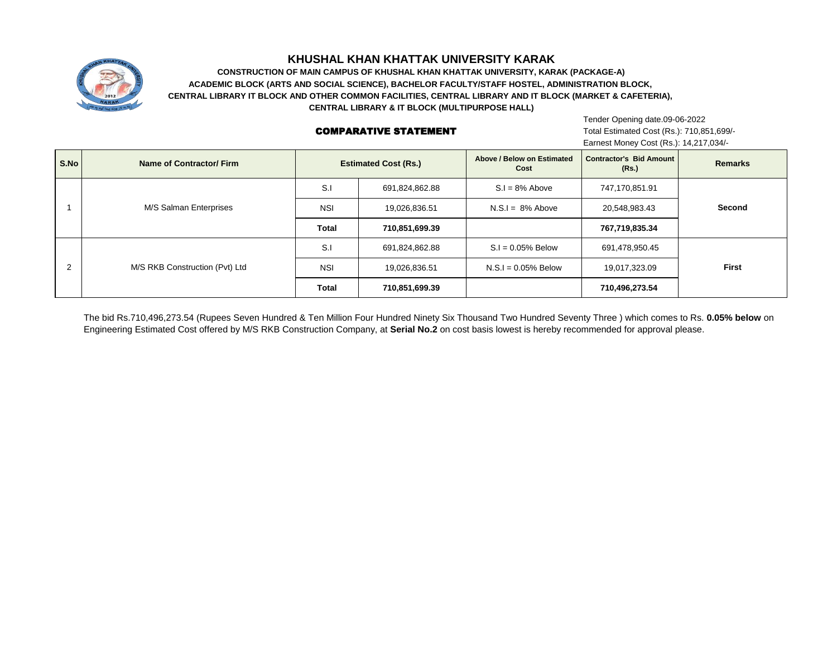

# **KHUSHAL KHAN KHATTAK UNIVERSITY KARAK**

**CENTRAL LIBRARY IT BLOCK AND OTHER COMMON FACILITIES, CENTRAL LIBRARY AND IT BLOCK (MARKET & CAFETERIA), CONSTRUCTION OF MAIN CAMPUS OF KHUSHAL KHAN KHATTAK UNIVERSITY, KARAK (PACKAGE-A) ACADEMIC BLOCK (ARTS AND SOCIAL SCIENCE), BACHELOR FACULTY/STAFF HOSTEL, ADMINISTRATION BLOCK, CENTRAL LIBRARY & IT BLOCK (MULTIPURPOSE HALL)**

#### COMPARATIVE STATEMENT

Tender Opening date.09-06-2022 Total Estimated Cost (Rs.): 710,851,699/- Earnest Money Cost (Rs.): 14,217,034/-

| S.No | Name of Contractor/Firm        | <b>Estimated Cost (Rs.)</b> |                | Above / Below on Estimated<br>Cost | <b>Contractor's Bid Amount</b><br>(Rs.) | <b>Remarks</b> |
|------|--------------------------------|-----------------------------|----------------|------------------------------------|-----------------------------------------|----------------|
|      | M/S Salman Enterprises         | S.I                         | 691,824,862.88 | $S.I = 8%$ Above                   | 747,170,851.91                          | Second         |
|      |                                | <b>NSI</b>                  | 19,026,836.51  | $N.S.I = 8%$ Above                 | 20,548,983.43                           |                |
|      |                                | Total                       | 710,851,699.39 |                                    | 767,719,835.34                          |                |
|      | M/S RKB Construction (Pvt) Ltd | S.I                         | 691,824,862.88 | $S.I = 0.05\%$ Below               | 691,478,950.45                          | <b>First</b>   |
|      |                                | <b>NSI</b>                  | 19,026,836.51  | $N.S.I = 0.05%$ Below              | 19,017,323.09                           |                |
|      |                                | <b>Total</b>                | 710,851,699.39 |                                    | 710,496,273.54                          |                |

The bid Rs.710,496,273.54 (Rupees Seven Hundred & Ten Million Four Hundred Ninety Six Thousand Two Hundred Seventy Three ) which comes to Rs. **0.05% below** on Engineering Estimated Cost offered by M/S RKB Construction Company, at **Serial No.2** on cost basis lowest is hereby recommended for approval please.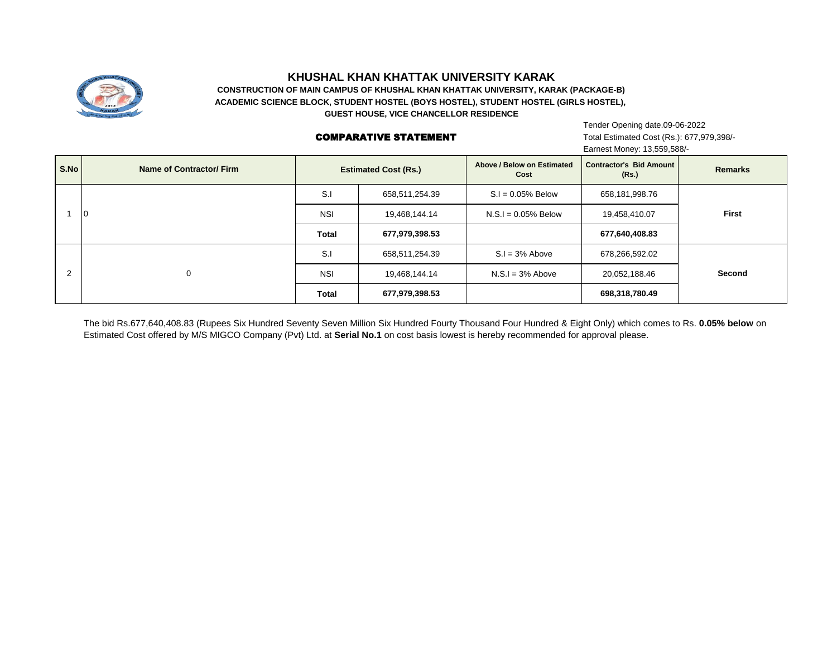

## **KHUSHAL KHAN KHATTAK UNIVERSITY KARAK**

**CONSTRUCTION OF MAIN CAMPUS OF KHUSHAL KHAN KHATTAK UNIVERSITY, KARAK (PACKAGE-B) ACADEMIC SCIENCE BLOCK, STUDENT HOSTEL (BOYS HOSTEL), STUDENT HOSTEL (GIRLS HOSTEL), GUEST HOUSE, VICE CHANCELLOR RESIDENCE**

#### COMPARATIVE STATEMENT

Tender Opening date.09-06-2022 Total Estimated Cost (Rs.): 677,979,398/- Earnest Money: 13,559,588/-

| S.No           | Name of Contractor/Firm | <b>Estimated Cost (Rs.)</b> |                | Above / Below on Estimated<br>Cost | Contractor's Bid Amount<br>(Rs.) | <b>Remarks</b> |
|----------------|-------------------------|-----------------------------|----------------|------------------------------------|----------------------------------|----------------|
|                | lo                      | S.I                         | 658,511,254.39 | $S.I = 0.05\%$ Below               | 658,181,998.76                   | First          |
|                |                         | <b>NSI</b>                  | 19,468,144.14  | $N.S.I = 0.05%$ Below              | 19,458,410.07                    |                |
|                |                         | <b>Total</b>                | 677,979,398.53 |                                    | 677,640,408.83                   |                |
| $\overline{2}$ | $\Omega$                | S.I                         | 658,511,254.39 | $S.I = 3%$ Above                   | 678,266,592.02                   | Second         |
|                |                         | <b>NSI</b>                  | 19,468,144.14  | $N.S.I = 3%$ Above                 | 20,052,188.46                    |                |
|                |                         | <b>Total</b>                | 677,979,398.53 |                                    | 698,318,780.49                   |                |

The bid Rs.677,640,408.83 (Rupees Six Hundred Seventy Seven Million Six Hundred Fourty Thousand Four Hundred & Eight Only) which comes to Rs. **0.05% below** on Estimated Cost offered by M/S MIGCO Company (Pvt) Ltd. at **Serial No.1** on cost basis lowest is hereby recommended for approval please.